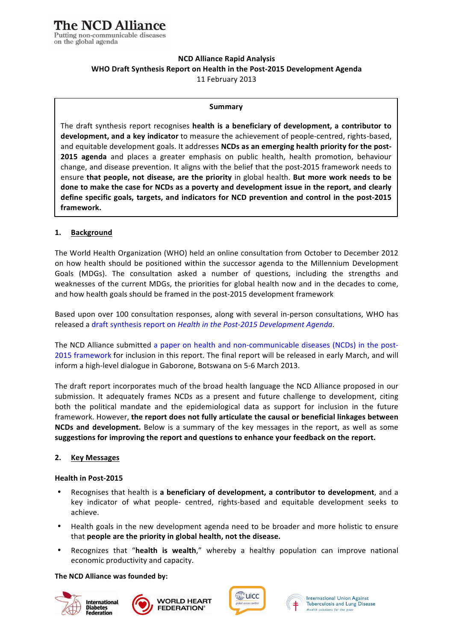# **NCD Alliance Rapid Analysis** WHO Draft Synthesis Report on Health in the Post-2015 Development Agenda 11 February 2013

#### **Summary**

The draft synthesis report recognises **health is a beneficiary of development, a contributor to development, and a key indicator** to measure the achievement of people-centred, rights-based, and equitable development goals. It addresses **NCDs as an emerging health priority for the post-2015 agenda** and places a greater emphasis on public health, health promotion, behaviour change, and disease prevention. It aligns with the belief that the post-2015 framework needs to **ensure that people, not disease, are the priority** in global health. But more work needs to be done to make the case for NCDs as a poverty and development issue in the report, and clearly define specific goals, targets, and indicators for NCD prevention and control in the post-2015 **framework.**

### **1. Background**

The World Health Organization (WHO) held an online consultation from October to December 2012 on how health should be positioned within the successor agenda to the Millennium Development Goals (MDGs). The consultation asked a number of questions, including the strengths and weaknesses of the current MDGs, the priorities for global health now and in the decades to come, and how health goals should be framed in the post-2015 development framework

Based upon over 100 consultation responses, along with several in-person consultations, WHO has released a draft synthesis report on *Health in the Post-2015 Development Agenda*.

The NCD Alliance submitted a paper on health and non-communicable diseases (NCDs) in the post-2015 framework for inclusion in this report. The final report will be released in early March, and will inform a high-level dialogue in Gaborone, Botswana on 5-6 March 2013.

The draft report incorporates much of the broad health language the NCD Alliance proposed in our submission. It adequately frames NCDs as a present and future challenge to development, citing both the political mandate and the epidemiological data as support for inclusion in the future framework. However, the report does not fully articulate the causal or beneficial linkages between **NCDs and development.** Below is a summary of the key messages in the report, as well as some suggestions for improving the report and questions to enhance your feedback on the report.

### **2. Key\$Messages**

### **Health in Post-2015**

- Recognises that health is **a beneficiary of development, a contributor to development**, and a key indicator of what people- centred, rights-based and equitable development seeks to achieve.
- Health goals in the new development agenda need to be broader and more holistic to ensure that **people are the priority in global health, not the disease.**
- Recognizes that "health is wealth," whereby a healthy population can improve national economic productivity and capacity.

### **The\$NCD Alliance\$was founded by:**











**International Union Against** Tuberculosis and Lung Disease Health solutions for the poo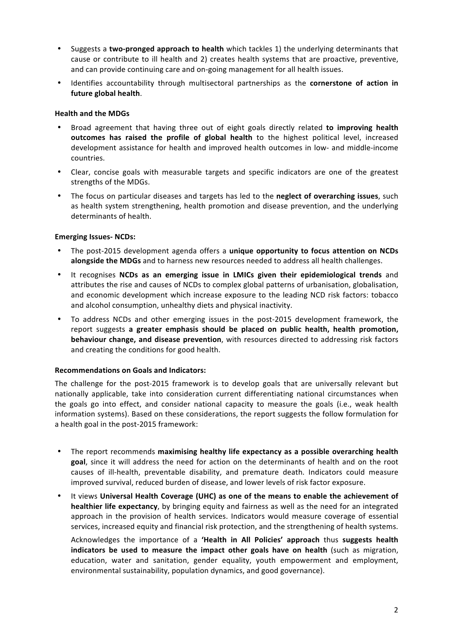- $\bullet$ Suggests a two-pronged approach to health which tackles 1) the underlying determinants that cause or contribute to ill health and 2) creates health systems that are proactive, preventive, and can provide continuing care and on-going management for all health issues.
- Identifies accountability through multisectoral partnerships as the cornerstone of action in  $\bullet$ future global health.

# **Health and the MDGs**

- Broad agreement that having three out of eight goals directly related to improving health outcomes has raised the profile of global health to the highest political level, increased development assistance for health and improved health outcomes in low- and middle-income countries.
- Clear, concise goals with measurable targets and specific indicators are one of the greatest  $\bullet$ strengths of the MDGs.
- The focus on particular diseases and targets has led to the neglect of overarching issues, such  $\bullet$ as health system strengthening, health promotion and disease prevention, and the underlying determinants of health.

### **Emerging Issues-NCDs:**

- The post-2015 development agenda offers a unique opportunity to focus attention on NCDs alongside the MDGs and to harness new resources needed to address all health challenges.
- It recognises NCDs as an emerging issue in LMICs given their epidemiological trends and  $\bullet$ attributes the rise and causes of NCDs to complex global patterns of urbanisation, globalisation, and economic development which increase exposure to the leading NCD risk factors: tobacco and alcohol consumption, unhealthy diets and physical inactivity.
- To address NCDs and other emerging issues in the post-2015 development framework, the report suggests a greater emphasis should be placed on public health, health promotion, behaviour change, and disease prevention, with resources directed to addressing risk factors and creating the conditions for good health.

### **Recommendations on Goals and Indicators:**

The challenge for the post-2015 framework is to develop goals that are universally relevant but nationally applicable, take into consideration current differentiating national circumstances when the goals go into effect, and consider national capacity to measure the goals (i.e., weak health information systems). Based on these considerations, the report suggests the follow formulation for a health goal in the post-2015 framework:

- The report recommends maximising healthy life expectancy as a possible overarching health goal, since it will address the need for action on the determinants of health and on the root causes of ill-health, preventable disability, and premature death, Indicators could measure improved survival, reduced burden of disease, and lower levels of risk factor exposure.
- It views Universal Health Coverage (UHC) as one of the means to enable the achievement of healthier life expectancy, by bringing equity and fairness as well as the need for an integrated approach in the provision of health services. Indicators would measure coverage of essential services, increased equity and financial risk protection, and the strengthening of health systems.

Acknowledges the importance of a 'Health in All Policies' approach thus suggests health indicators be used to measure the impact other goals have on health (such as migration, education, water and sanitation, gender equality, youth empowerment and employment, environmental sustainability, population dynamics, and good governance).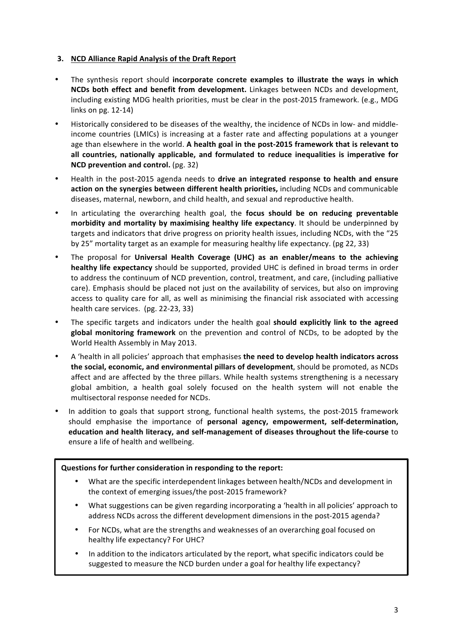## 3. NCD Alliance Rapid Analysis of the Draft Report

- The synthesis report should incorporate concrete examples to illustrate the ways in which NCDs both effect and benefit from development. Linkages between NCDs and development, including existing MDG health priorities, must be clear in the post-2015 framework. (e.g., MDG links on pg. 12-14)
- Historically considered to be diseases of the wealthy, the incidence of NCDs in low- and middleincome countries (LMICs) is increasing at a faster rate and affecting populations at a younger age than elsewhere in the world. A health goal in the post-2015 framework that is relevant to all countries, nationally applicable, and formulated to reduce inequalities is imperative for NCD prevention and control. (pg. 32)
- Health in the post-2015 agenda needs to drive an integrated response to health and ensure action on the synergies between different health priorities, including NCDs and communicable diseases, maternal, newborn, and child health, and sexual and reproductive health.
- In articulating the overarching health goal, the focus should be on reducing preventable morbidity and mortality by maximising healthy life expectancy. It should be underpinned by targets and indicators that drive progress on priority health issues, including NCDs, with the "25 by 25" mortality target as an example for measuring healthy life expectancy. (pg 22, 33)
- The proposal for Universal Health Coverage (UHC) as an enabler/means to the achieving healthy life expectancy should be supported, provided UHC is defined in broad terms in order to address the continuum of NCD prevention, control, treatment, and care, (including palliative care). Emphasis should be placed not just on the availability of services, but also on improving access to quality care for all, as well as minimising the financial risk associated with accessing health care services. (pg. 22-23, 33)
- $\bullet$ The specific targets and indicators under the health goal should explicitly link to the agreed global monitoring framework on the prevention and control of NCDs, to be adopted by the World Health Assembly in May 2013.
- A 'health in all policies' approach that emphasises the need to develop health indicators across the social, economic, and environmental pillars of development, should be promoted, as NCDs affect and are affected by the three pillars. While health systems strengthening is a necessary global ambition, a health goal solely focused on the health system will not enable the multisectoral response needed for NCDs.
- In addition to goals that support strong, functional health systems, the post-2015 framework should emphasise the importance of personal agency, empowerment, self-determination, education and health literacy, and self-management of diseases throughout the life-course to ensure a life of health and wellbeing.

### Questions for further consideration in responding to the report:

- What are the specific interdependent linkages between health/NCDs and development in the context of emerging issues/the post-2015 framework?
- What suggestions can be given regarding incorporating a 'health in all policies' approach to address NCDs across the different development dimensions in the post-2015 agenda?
- For NCDs, what are the strengths and weaknesses of an overarching goal focused on healthy life expectancy? For UHC?
- In addition to the indicators articulated by the report, what specific indicators could be suggested to measure the NCD burden under a goal for healthy life expectancy?